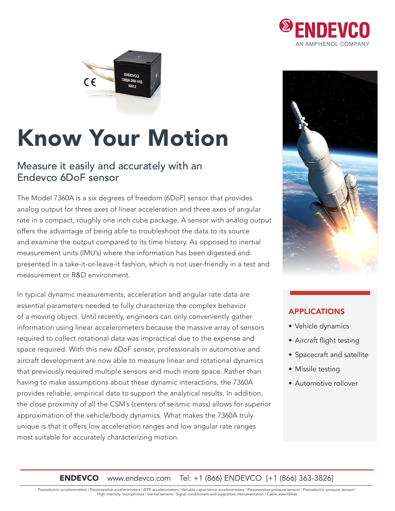



# Know Your Motion

### Measure it easily and accurately with an Endevco 6DoF sensor

The Model 7360A is a six degrees of freedom (6DoF) sensor that provides analog output for three axes of linear acceleration and three axes of angular rate in a compact, roughly one inch cube package. A sensor with analog output offers the advantage of being able to troubleshoot the data to its source and examine the output compared to its time history. As opposed to inertial measurement units (IMU's) where the information has been digested and presented in a take-it-or-leave-it fashion, which is not user-friendly in a test and measurement or R&D environment.

In typical dynamic measurements, acceleration and angular rate data are essential parameters needed to fully characterize the complex behavior of a moving object. Until recently, engineers can only conveniently gather information using linear accelerometers because the massive array of sensors required to collect rotational data was impractical due to the expense and space required. With this new 6DoF sensor, professionals in automotive and aircraft development are now able to measure linear and rotational dynamics that previously required multiple sensors and much more space. Rather than having to make assumptions about these dynamic interactions, the 7360A provides reliable, empirical data to support the analytical results. In addition, the close proximity of all the CSM's (centers of seismic mass) allows for superior approximation of the vehicle/body dynamics. What makes the 7360A truly unique is that it offers low acceleration ranges and low angular rate ranges most suitable for accurately characterizing motion.



#### APPLICATIONS

- Vehicle dynamics
- Aircraft flight testing
- Spacecraft and satellite
- Missile testing
- Automotive rollover

**ENDEVCO** www.endevco.com Tel: +1 (866) ENDEVCO [+1 (866) 363-3826]